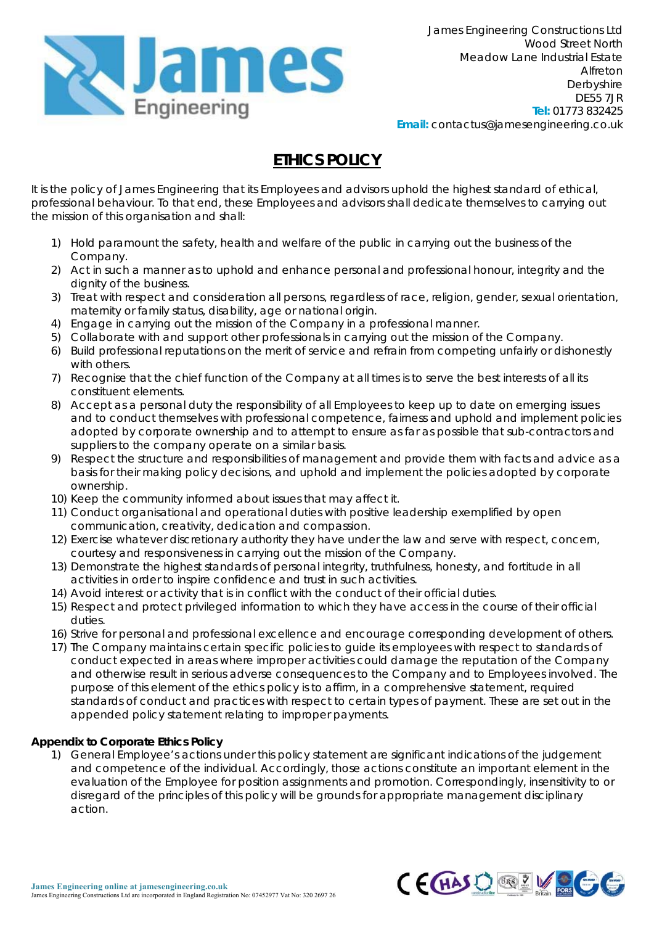

# **ETHICS POLICY**

It is the policy of James Engineering that its Employees and advisors uphold the highest standard of ethical, professional behaviour. To that end, these Employees and advisors shall dedicate themselves to carrying out the mission of this organisation and shall:

- 1) Hold paramount the safety, health and welfare of the public in carrying out the business of the Company.
- 2) Act in such a manner as to uphold and enhance personal and professional honour, integrity and the dignity of the business.
- 3) Treat with respect and consideration all persons, regardless of race, religion, gender, sexual orientation, maternity or family status, disability, age or national origin.
- 4) Engage in carrying out the mission of the Company in a professional manner.
- 5) Collaborate with and support other professionals in carrying out the mission of the Company.
- 6) Build professional reputations on the merit of service and refrain from competing unfairly or dishonestly with others.
- 7) Recognise that the chief function of the Company at all times is to serve the best interests of all its constituent elements.
- 8) Accept as a personal duty the responsibility of all Employees to keep up to date on emerging issues and to conduct themselves with professional competence, fairness and uphold and implement policies adopted by corporate ownership and to attempt to ensure as far as possible that sub-contractors and suppliers to the company operate on a similar basis.
- 9) Respect the structure and responsibilities of management and provide them with facts and advice as a basis for their making policy decisions, and uphold and implement the policies adopted by corporate ownership.
- 10) Keep the community informed about issues that may affect it.
- 11) Conduct organisational and operational duties with positive leadership exemplified by open communication, creativity, dedication and compassion.
- 12) Exercise whatever discretionary authority they have under the law and serve with respect, concern, courtesy and responsiveness in carrying out the mission of the Company.
- 13) Demonstrate the highest standards of personal integrity, truthfulness, honesty, and fortitude in all activities in order to inspire confidence and trust in such activities.
- 14) Avoid interest or activity that is in conflict with the conduct of their official duties.
- 15) Respect and protect privileged information to which they have access in the course of their official duties.
- 16) Strive for personal and professional excellence and encourage corresponding development of others.
- 17) The Company maintains certain specific policies to guide its employees with respect to standards of conduct expected in areas where improper activities could damage the reputation of the Company and otherwise result in serious adverse consequences to the Company and to Employees involved. The purpose of this element of the ethics policy is to affirm, in a comprehensive statement, required standards of conduct and practices with respect to certain types of payment. These are set out in the appended policy statement relating to improper payments.

## **Appendix to Corporate Ethics Policy**

1) General Employee's actions under this policy statement are significant indications of the judgement and competence of the individual. Accordingly, those actions constitute an important element in the evaluation of the Employee for position assignments and promotion. Correspondingly, insensitivity to or disregard of the principles of this policy will be grounds for appropriate management disciplinary action.

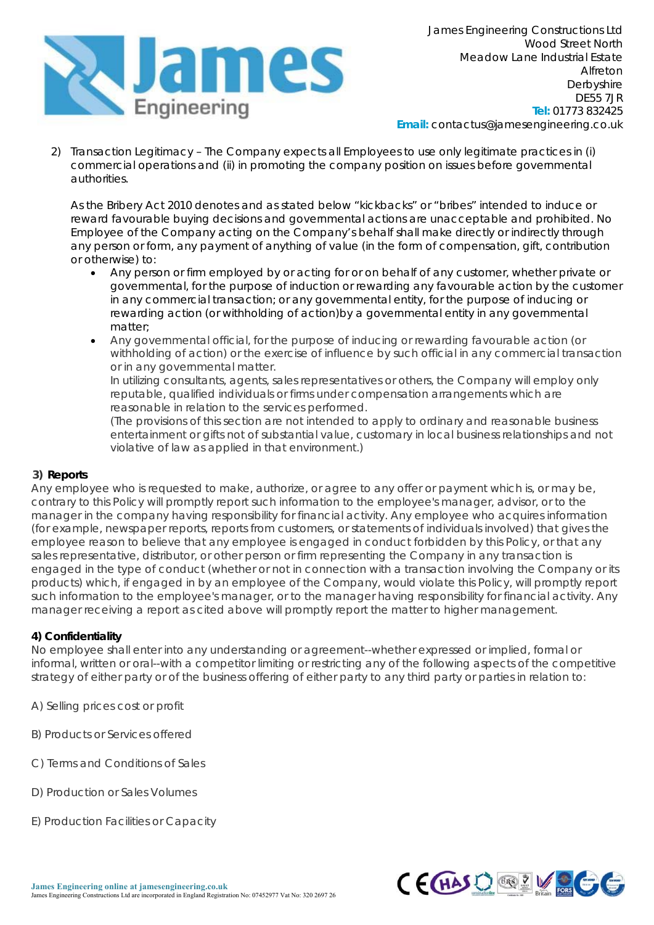

2) Transaction Legitimacy – The Company expects all Employees to use only legitimate practices in (i) commercial operations and (ii) in promoting the company position on issues before governmental authorities.

As the Bribery Act 2010 denotes and as stated below "kickbacks" or "bribes" intended to induce or reward favourable buying decisions and governmental actions are unacceptable and prohibited. No Employee of the Company acting on the Company's behalf shall make directly or indirectly through any person or form, any payment of anything of value (in the form of compensation, gift, contribution or otherwise) to:

- Any person or firm employed by or acting for or on behalf of any customer, whether private or governmental, for the purpose of induction or rewarding any favourable action by the customer in any commercial transaction; or any governmental entity, for the purpose of inducing or rewarding action (or withholding of action)by a governmental entity in any governmental matter;
- Any governmental official, for the purpose of inducing or rewarding favourable action (or withholding of action) or the exercise of influence by such official in any commercial transaction or in any governmental matter.

In utilizing consultants, agents, sales representatives or others, the Company will employ only reputable, qualified individuals or firms under compensation arrangements which are reasonable in relation to the services performed.

(The provisions of this section are not intended to apply to ordinary and reasonable business entertainment or gifts not of substantial value, customary in local business relationships and not violative of law as applied in that environment.)

## **3) Reports**

Any employee who is requested to make, authorize, or agree to any offer or payment which is, or may be, contrary to this Policy will promptly report such information to the employee's manager, advisor, or to the manager in the company having responsibility for financial activity. Any employee who acquires information (for example, newspaper reports, reports from customers, or statements of individuals involved) that gives the employee reason to believe that any employee is engaged in conduct forbidden by this Policy, or that any sales representative, distributor, or other person or firm representing the Company in any transaction is engaged in the type of conduct (whether or not in connection with a transaction involving the Company or its products) which, if engaged in by an employee of the Company, would violate this Policy, will promptly report such information to the employee's manager, or to the manager having responsibility for financial activity. Any manager receiving a report as cited above will promptly report the matter to higher management.

## **4) Confidentiality**

No employee shall enter into any understanding or agreement--whether expressed or implied, formal or informal, written or oral--with a competitor limiting or restricting any of the following aspects of the competitive strategy of either party or of the business offering of either party to any third party or parties in relation to:

- A) Selling prices cost or profit
- B) Products or Services offered
- C) Terms and Conditions of Sales
- D) Production or Sales Volumes
- E) Production Facilities or Capacity

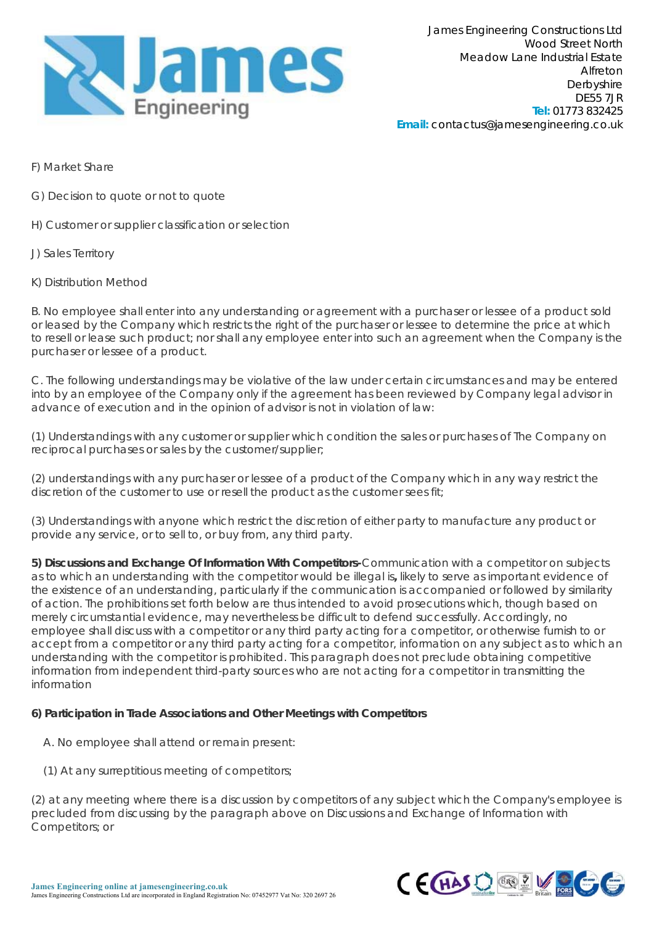

- F) Market Share
- G) Decision to quote or not to quote
- H) Customer or supplier classification or selection
- J) Sales Territory
- K) Distribution Method

B. No employee shall enter into any understanding or agreement with a purchaser or lessee of a product sold or leased by the Company which restricts the right of the purchaser or lessee to determine the price at which to resell or lease such product; nor shall any employee enter into such an agreement when the Company is the purchaser or lessee of a product.

C. The following understandings may be violative of the law under certain circumstances and may be entered into by an employee of the Company only if the agreement has been reviewed by Company legal advisor in advance of execution and in the opinion of advisor is not in violation of law:

(1) Understandings with any customer or supplier which condition the sales or purchases of The Company on reciprocal purchases or sales by the customer/supplier;

(2) understandings with any purchaser or lessee of a product of the Company which in any way restrict the discretion of the customer to use or resell the product as the customer sees fit;

(3) Understandings with anyone which restrict the discretion of either party to manufacture any product or provide any service, or to sell to, or buy from, any third party.

**5) Discussions and Exchange Of Information With Competitors-**Communication with a competitor on subjects as to which an understanding with the competitor would be illegal is**,** likely to serve as important evidence of the existence of an understanding, particularly if the communication is accompanied or followed by similarity of action. The prohibitions set forth below are thus intended to avoid prosecutions which, though based on merely circumstantial evidence, may nevertheless be difficult to defend successfully. Accordingly, no employee shall discuss with a competitor or any third party acting for a competitor, or otherwise furnish to or accept from a competitor or any third party acting for a competitor, information on any subject as to which an understanding with the competitor is prohibited. This paragraph does not preclude obtaining competitive information from independent third-party sources who are not acting for a competitor in transmitting the information

#### **6) Participation in Trade Associations and Other Meetings with Competitors**

- A. No employee shall attend or remain present:
- (1) At any surreptitious meeting of competitors;

(2) at any meeting where there is a discussion by competitors of any subject which the Company's employee is precluded from discussing by the paragraph above on Discussions and Exchange of Information with Competitors; or